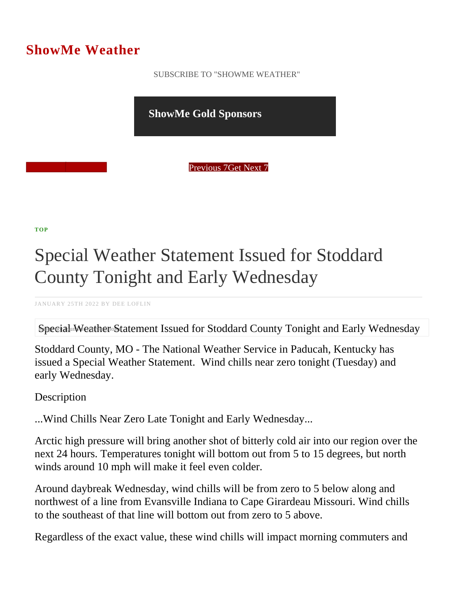## ShowMe Weather

 [SUBSCRIBE TO "SHOWME WEATHER"](/blog_rss.php)

ShowMe Gold Sponsors

Previous Get Next 7

[TOP](/var/www/showmetimes.com/root/javascript:blogScrollToTop()

## Special Weather Statement Issued for Stoddard County Tonight and Early Wednesday

JANUARY 25TH 2022 BY DEE LOFLIN

Special Weather Statement Issued for Stoddard County Tonight and Early Wednesday

Stoddard County, MO - The National Weather Service in Paducah, Kentucky has issued a Special Weather Statement. Wind chills near zero tonight (Tuesday) and early Wednesday.

**Description** 

...Wind Chills Near Zero Late Tonight and Early Wednesday...

Arctic high pressure will bring another shot of bitterly cold air into our region over the next 24 hours. Temperatures tonight will bottom out from 5 to 15 degrees, but north winds around 10 mph will make it feel even colder.

Around daybreak Wednesday, wind chills will be from zero to 5 below along and northwest of a line from Evansville Indiana to Cape Girardeau Missouri. Wind chills to the southeast of that line will bottom out from zero to 5 above.

Regardless of the exact value, these wind chills will impact morning commuters and